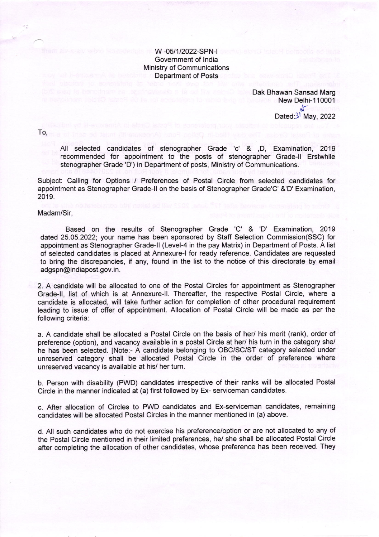## w -05/1/2022-SPN-l Government of lndia Ministry of Communications Department of Posts

Dak Bhawan Sansad Marg **New Delhi-110001**  $\mathbf{r}$ Dated:Jl May,2022

To,

All selected candidates of stenographer Grade 'c' & ,D, Examination, <sup>2019</sup> recommended for appointment to the posts of stenographer Grade-ll Erstwhile stenographer Grade'D') in Department of posts, Ministry of Communications.

Subject: Calling for Options / Preferences of Postal Circle from selected candidates for appointment as Stenographer Grade-ll on the basis of Stenographer Grade'C' &'D' Examination, 2019.

## Madam/Sir,

Based on the results of Stenographer Grade 'C' & 'D' Examination, <sup>2019</sup> dated 25.05.2022; your name has been sponsored by Staff Selection Commission(SSC) for appointment as Stenographer Grade-ll (Level-4 in the pay Matrix) in Department of Posts. A list of selected candidates is placed at Annexure-l for ready reference. Candidates are requested to bring the discrepancies, if any, found in the list to the notice of this directorate by email adgspn@indiapost. gov. in.

2. A candidate will be allocated to one of the Postal Circles for appointment as Stenographer Grade-ll, list of which is at Annexure-ll. Thereafter, the respective Postal Circle, where <sup>a</sup> candidate is allocated, will take further action for completion of other procedural requirement leading to issue of offer of appointment. Allocation of Postal Circle will be made as per the following criteria:

a. A candidate shall be allocated a Postal Circle on the basis of her/ his merit (rank), order of preference (option), and vacancy available in a postal Circle at her/ his turn in the category she/ he has been selected. [Note:- A candidate belonging to OBC/SC/ST category selected under unreserved category shall be allocated Postal Circle in the order of preference where unreserved vacancy is available at his/ her turn.

b. Person with disability (PWD) candidates irrespective of their ranks will be allocated Postal Circle in the manner indicated at (a) first followed by Ex- serviceman candidates.

c. After allocation of Circles to PWD candidates and Ex-serviceman candidates, remaining candidates will be allocated Postal Circles in the manner mentioned in (a) above.

d. All such candidates who do not exercise his preference/option or are not allocated to any of the Postal Circle mentioned in their limited preferences, he/ she shall be allocated Postal Circle after completing the allocation of other candidates, whose preference has been received. They